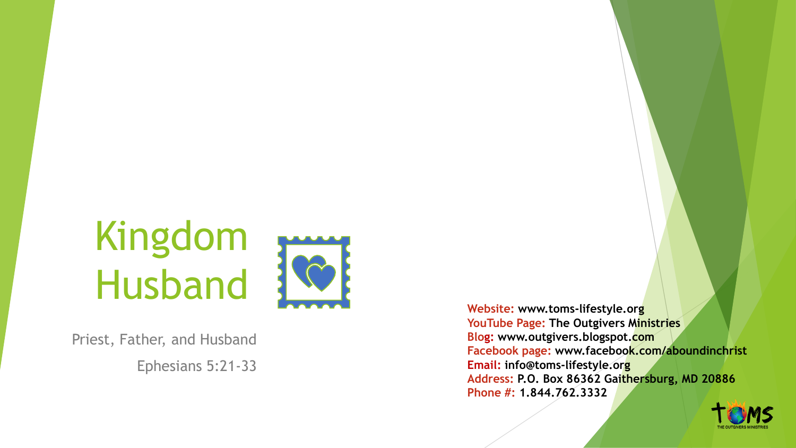# Kingdom Husband



Priest, Father, and Husband Ephesians 5:21 -33

**Website: www.toms -lifestyle.org YouTube Page: The Outgivers Ministries Blo g: www.outgivers.blogspot.com Facebook page: www.facebook.com/aboundinchrist Email: info@toms -lifestyle.org Address: P.O. Box 86362 Gaithersburg, MD 20886 Phone #: 1.844.762.3332**

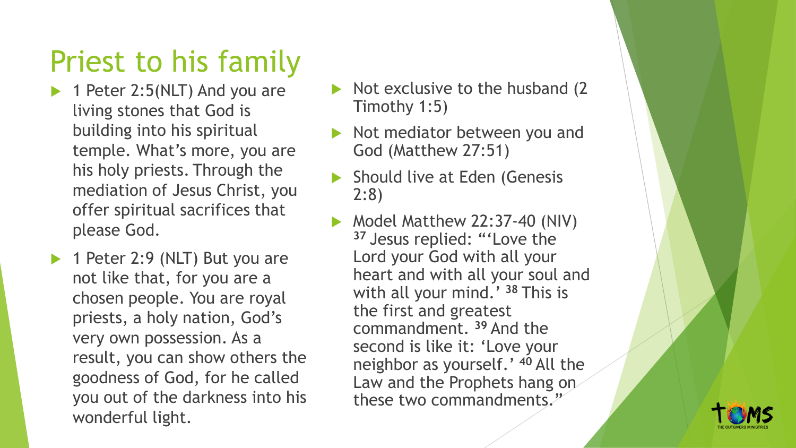#### Priest to his family

- $\blacktriangleright$  1 Peter 2:5(NLT) And you are living stones that God is building into his spiritual temple. What's more, you are his holy priests. Through the mediation of Jesus Christ, you offer spiritual sacrifices that please God.
- ▶ 1 Peter 2:9 (NLT) But you are not like that, for you are a chosen people. You are royal priests, a holy nation, God's very own possession. As a result, you can show others the goodness of God, for he called you out of the darkness into his wonderful light.
- $\triangleright$  Not exclusive to the husband (2) Timothy 1:5)
- $\triangleright$  Not mediator between you and God (Matthew 27:51)
- ▶ Should live at Eden (Genesis 2:8)
- Model Matthew 22:37-40 (NIV) **<sup>37</sup>** Jesus replied: "'Love the Lord your God with all your heart and with all your soul and with all your mind.' **<sup>38</sup>** This is the first and greatest commandment. **<sup>39</sup>** And the second is like it: 'Love your neighbor as yourself.' **<sup>40</sup>** All the Law and the Prophets hang on these two commandments."

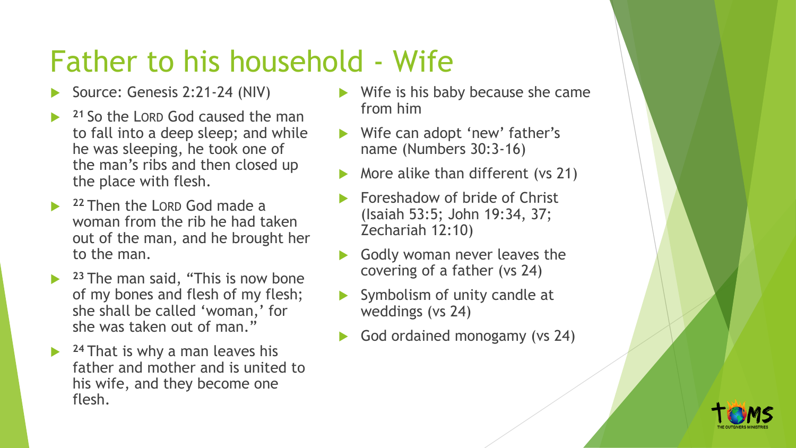#### Father to his household - Wife

- Source: Genesis 2:21-24 (NIV)
- **<sup>21</sup>** So the LORD God caused the man to fall into a deep sleep; and while he was sleeping, he took one of the man's ribs and then closed up the place with flesh.
- **<sup>22</sup>** Then the LORD God made a woman from the rib he had taken out of the man, and he brought her to the man.
- **23** The man said, "This is now bone of my bones and flesh of my flesh; she shall be called 'woman,' for she was taken out of man."
- **24 That is why a man leaves his** father and mother and is united to his wife, and they become one flesh.
- $\blacktriangleright$  Wife is his baby because she came from him
- Wife can adopt 'new' father's name (Numbers 30:3-16)
- More alike than different (vs 21)
- Foreshadow of bride of Christ (Isaiah 53:5; John 19:34, 37; Zechariah 12:10)
- Godly woman never leaves the covering of a father (vs 24)
- Symbolism of unity candle at weddings (vs 24)
- God ordained monogamy (vs 24)

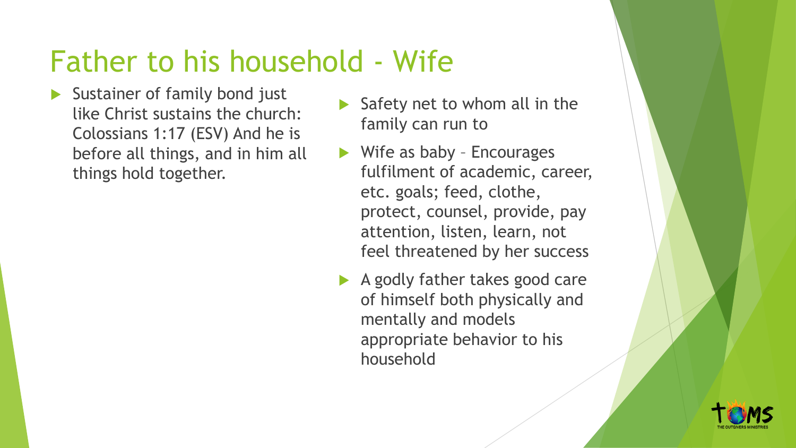## Father to his household - Wife

- Sustainer of family bond just like Christ sustains the church: Colossians 1:17 (ESV) And he is before all things, and in him all things hold together.
- Safety net to whom all in the family can run to
- $\blacktriangleright$  Wife as baby Encourages fulfilment of academic, career, etc. goals; feed, clothe, protect, counsel, provide, pay attention, listen, learn, not feel threatened by her success
- A godly father takes good care of himself both physically and mentally and models appropriate behavior to his household

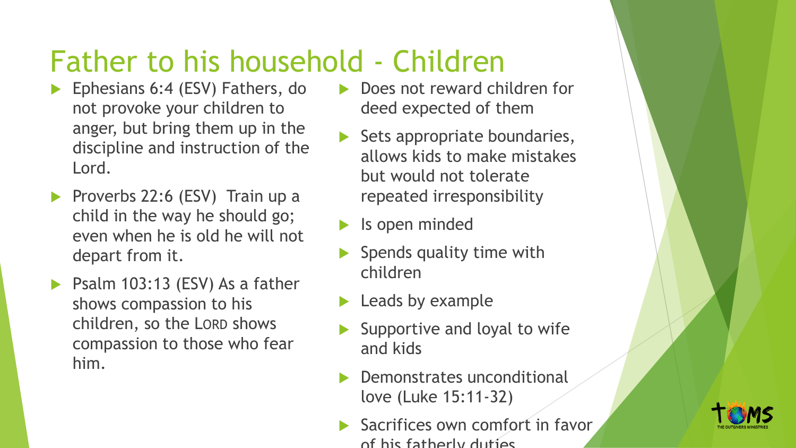#### Father to his household - Children

- Ephesians 6:4 (ESV) Fathers, do not provoke your children to anger, but bring them up in the discipline and instruction of the Lord.
- Proverbs 22:6 (ESV) Train up a child in the way he should go; even when he is old he will not depart from it.
- $\triangleright$  Psalm 103:13 (ESV) As a father shows compassion to his children, so the LORD shows compassion to those who fear him.
- Does not reward children for deed expected of them
- Sets appropriate boundaries, allows kids to make mistakes but would not tolerate repeated irresponsibility
- Is open minded
- Spends quality time with children
- Leads by example
- Supportive and loyal to wife and kids
- Demonstrates unconditional love (Luke 15:11-32)
- Sacrifices own comfort in favor of his fatherly duties

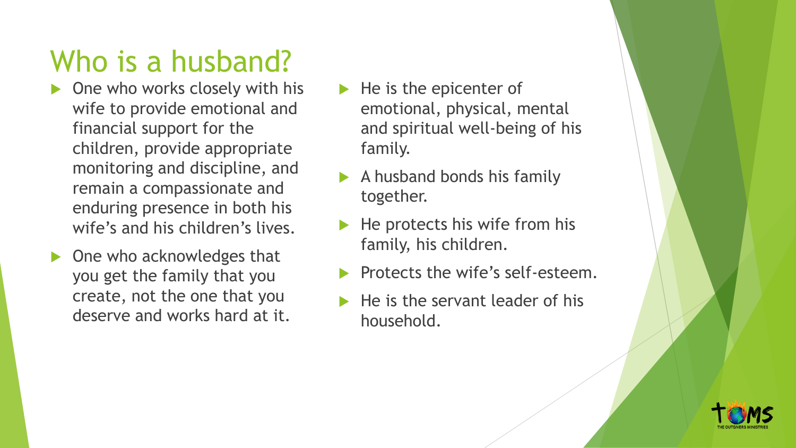## Who is a husband?

- One who works closely with his wife to provide emotional and financial support for the children, provide appropriate monitoring and discipline, and remain a compassionate and enduring presence in both his wife's and his children's lives.
- One who acknowledges that you get the family that you create, not the one that you deserve and works hard at it.
- $\blacktriangleright$  He is the epicenter of emotional, physical, mental and spiritual well-being of his family.
- A husband bonds his family together.
- He protects his wife from his family, his children.
- Protects the wife's self-esteem.
- He is the servant leader of his household.

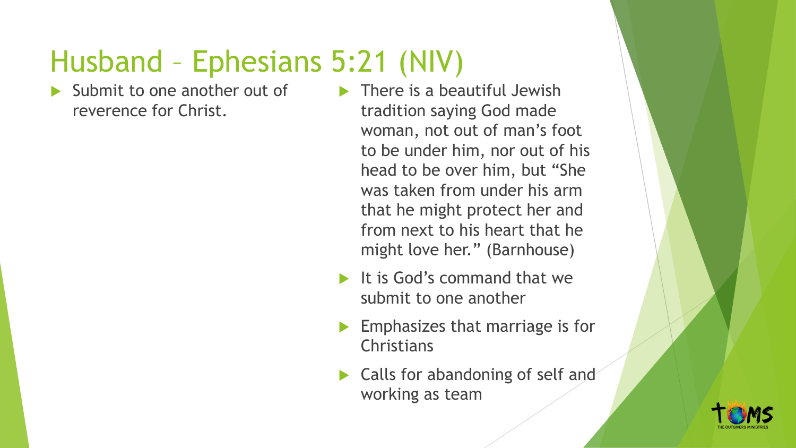## Husband – Ephesians 5:21 (NIV)

 Submit to one another out of reverence for Christ.

 $\blacktriangleright$  There is a beautiful Jewish tradition saying God made woman, not out of man's foot to be under him, nor out of his head to be over him, but "She was taken from under his arm that he might protect her and from next to his heart that he might love her." (Barnhouse)

- It is God's command that we submit to one another
- Emphasizes that marriage is for **Christians**
- Calls for abandoning of self and working as team

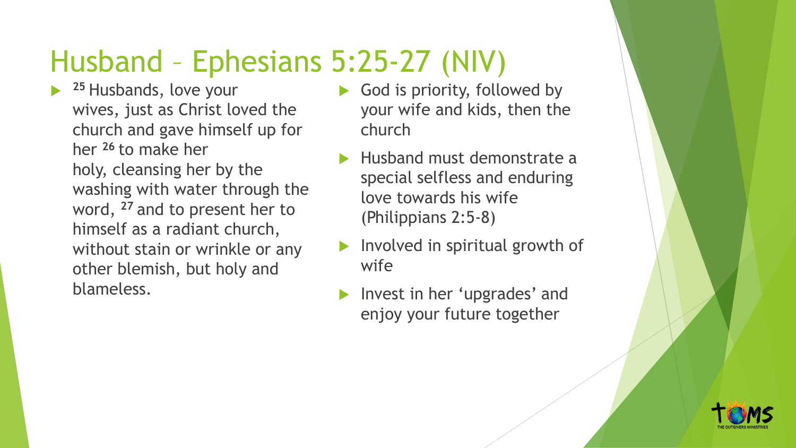## Husband – Ephesians 5:25-27 (NIV)

- **<sup>25</sup>** Husbands, love your wives, just as Christ loved the church and gave himself up for her **<sup>26</sup>** to make her holy, cleansing her by the washing with water through the word, **<sup>27</sup>** and to present her to himself as a radiant church, without stain or wrinkle or any other blemish, but holy and blameless.
- God is priority, followed by your wife and kids, then the church
- Husband must demonstrate a special selfless and enduring love towards his wife (Philippians 2:5-8)
- Involved in spiritual growth of wife
- Invest in her 'upgrades' and enjoy your future together

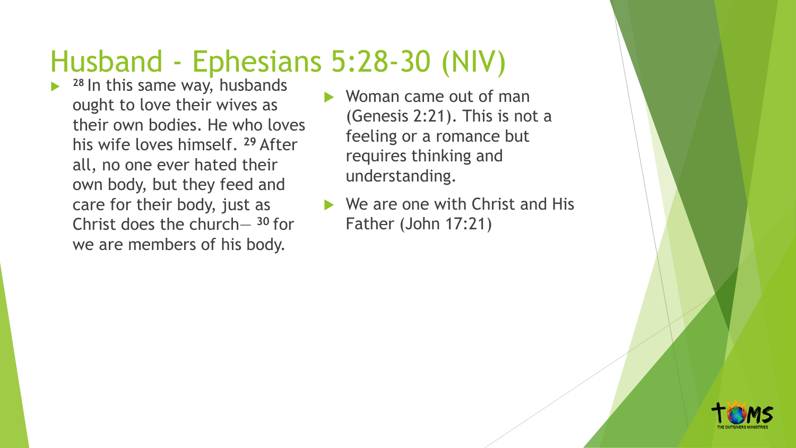## Husband - Ephesians 5:28-30 (NIV)

- **28** In this same way, husbands ought to love their wives as their own bodies. He who loves his wife loves himself. **<sup>29</sup>** After all, no one ever hated their own body, but they feed and care for their body, just as Christ does the church— **<sup>30</sup>** for we are members of his body.
- Woman came out of man (Genesis 2:21). This is not a feeling or a romance but requires thinking and understanding.
- $\blacktriangleright$  We are one with Christ and His Father (John 17:21)

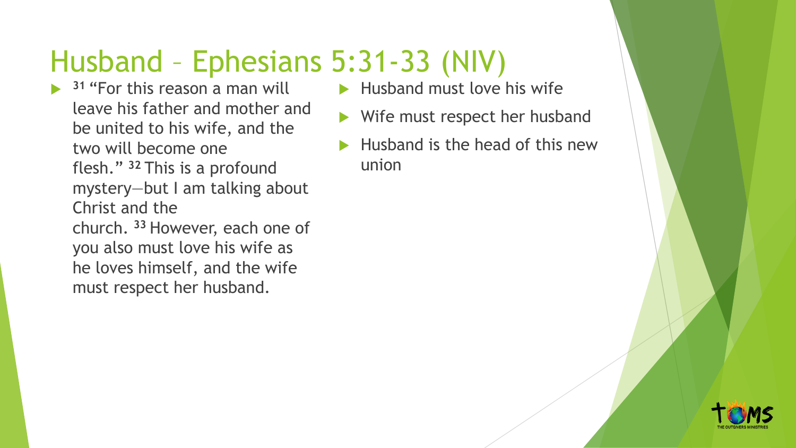## Husband – Ephesians 5:31-33 (NIV)

 **<sup>31</sup>** "For this reason a man will leave his father and mother and be united to his wife, and the two will become one flesh." **<sup>32</sup>** This is a profound mystery—but I am talking about Christ and the church. **<sup>33</sup>** However, each one of you also must love his wife as he loves himself, and the wife must respect her husband.

- $\blacktriangleright$  Husband must love his wife
- Wife must respect her husband
- $\blacktriangleright$  Husband is the head of this new union